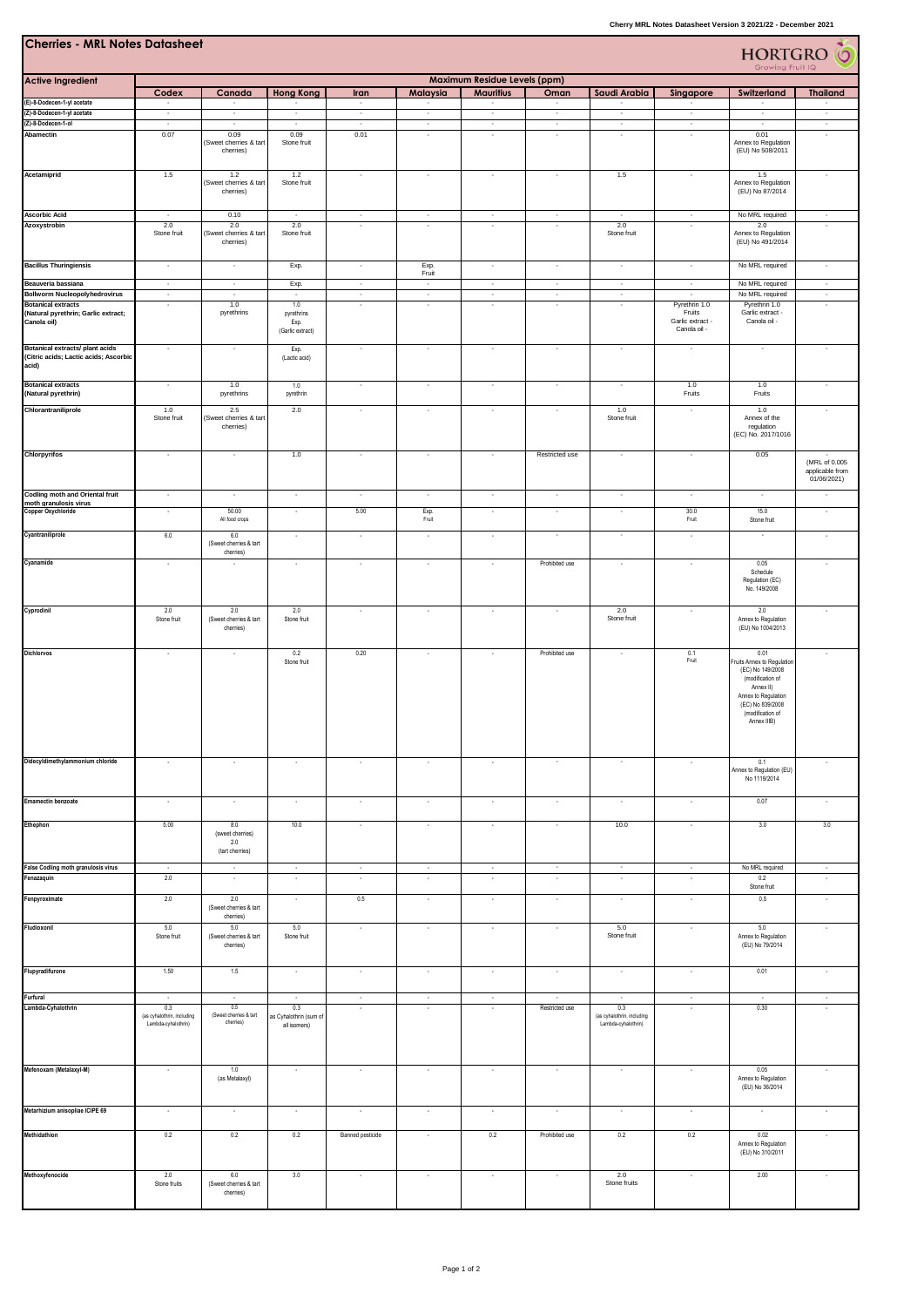| <b>Cherries - MRL Notes Datasheet</b><br><b>HORTGRO</b> O                                |                                                          |                                                   |                                               |                          |                          |                          |                          |                                                          |                                            |                                                                                                                                                                       |                                                           |
|------------------------------------------------------------------------------------------|----------------------------------------------------------|---------------------------------------------------|-----------------------------------------------|--------------------------|--------------------------|--------------------------|--------------------------|----------------------------------------------------------|--------------------------------------------|-----------------------------------------------------------------------------------------------------------------------------------------------------------------------|-----------------------------------------------------------|
| <b>Active Ingredient</b>                                                                 | Maximum Residue Levels (ppm)                             |                                                   |                                               |                          |                          |                          |                          |                                                          |                                            |                                                                                                                                                                       |                                                           |
|                                                                                          | Codex                                                    | Canada                                            | <b>Hong Kong</b>                              | Iran                     | Malaysia                 | <b>Mauritius</b>         | Oman                     | Saudi Arabia                                             | Singapore                                  | <b>Switzerland</b>                                                                                                                                                    | <b>Thailand</b>                                           |
| (E)-8-Dodecen-1-yl acetate<br>(Z)-8-Dodecen-1-yl acetate                                 | $\overline{\phantom{a}}$                                 | $\cdot$                                           | $\cdot$                                       | $\sim$<br>$\sim$         | ٠<br>$\sim$              | $\sim$                   | $\cdot$                  | $\overline{\phantom{a}}$                                 | $\overline{\phantom{a}}$                   | $\cdot$                                                                                                                                                               | $\cdot$                                                   |
| (Z)-8-Dodecen-1-ol                                                                       | $\cdot$                                                  | $\cdot$                                           | $\cdot$                                       | $\sim$                   | $\sim$                   | $\cdot$                  | $\sim$                   | $\cdot$                                                  | $\sim$                                     | $\cdot$                                                                                                                                                               | $\cdot$                                                   |
| Abamectin                                                                                | 0.07                                                     | 0.09<br>(Sweet cherries & tart<br>cherries)       | 0.09<br>Stone fruit                           | 0.01                     | ×                        | ×,                       | ł,                       | ×,                                                       | ł,                                         | 0.01<br>Annex to Regulation<br>(EU) No 508/2011                                                                                                                       |                                                           |
| Acetamiprid                                                                              | 1.5                                                      | 1.2<br>(Sweet cherries & tart<br>cherries)        | 1.2<br>Stone fruit                            | ٠                        | $\overline{\phantom{a}}$ | ٠                        | ٠                        | 1.5                                                      | $\cdot$                                    | 1.5<br>Annex to Regulation<br>(EU) No 87/2014                                                                                                                         | $\overline{\phantom{a}}$                                  |
| <b>Ascorbic Acid</b>                                                                     | $\sim$                                                   | 0.10                                              | $\epsilon$                                    | $\sim$                   | $\sim$                   | $\sim$                   | $\overline{\phantom{a}}$ | $\sim$                                                   | $\sim$                                     | No MRL required                                                                                                                                                       | $\sim$                                                    |
| Azoxystrobin                                                                             | 2.0<br>Stone fruit                                       | 2.0<br>(Sweet cherries & tart<br>cherries)        | 2.0<br>Stone fruit                            | $\overline{\phantom{a}}$ | ٠                        | ٠                        | ٠                        | 2.0<br>Stone fruit                                       | $\overline{\phantom{a}}$                   | 2.0<br>Annex to Regulation<br>(EU) No 491/2014                                                                                                                        | ٠                                                         |
| <b>Bacillus Thuringiensis</b>                                                            | $\cdot$                                                  | $\cdot$                                           | Exp.                                          | $\sim$                   | Exp.<br>Fruit            | $\overline{\phantom{a}}$ | $\overline{\phantom{a}}$ | $\sim$                                                   | $\cdot$                                    | No MRL required                                                                                                                                                       | $\cdot$                                                   |
| Beauveria bassiana                                                                       | $\overline{\phantom{a}}$                                 | $\sim$                                            | Exp.                                          | $\sim$                   | $\sim$                   | $\overline{\phantom{a}}$ | $\cdot$                  | $\sim$                                                   | $\cdot$                                    | No MRL required                                                                                                                                                       | $\cdot$                                                   |
| <b>Bollworm Nucleopolyhedrovirus</b><br><b>Botanical extracts</b>                        | $\sim$<br>×                                              | $\sim$<br>1.0                                     | т<br>1.0                                      | $\sim$<br>×              | $\sim$<br>ł,             | $\epsilon$<br>×,         | $\epsilon$<br>÷,         | ÷.<br>×                                                  | ÷<br>Pyrethrin 1.0                         | No MRL required<br>Pyrethrin 1.0                                                                                                                                      | $\overline{\phantom{a}}$<br>×,                            |
| (Natural pyrethrin; Garlic extract;<br>Canola oil)                                       |                                                          | pyrethrins                                        | pyrethrins<br>Exp.<br>(Garlic extract)        |                          |                          |                          |                          |                                                          | Fruits<br>Garlic extract -<br>Canola oil - | Garlic extract -<br>Canola oil -                                                                                                                                      |                                                           |
| <b>Botanical extracts/ plant acids</b><br>(Citric acids; Lactic acids; Ascorbic<br>acid) | $\cdot$                                                  | $\cdot$                                           | Exp.<br>(Lactic acid)                         | $\overline{\phantom{a}}$ | ×                        | ×                        | ٠                        | $\overline{\phantom{a}}$                                 | $\cdot$                                    | $\cdot$                                                                                                                                                               |                                                           |
| <b>Botanical extracts</b><br>(Natural pyrethrin)                                         | $\cdot$                                                  | 1.0<br>pyrethrins                                 | 1.0<br>pyrethrin                              | $\overline{\phantom{a}}$ | $\cdot$                  | $\cdot$                  | $\cdot$                  | $\overline{\phantom{a}}$                                 | 1.0<br>Fruits                              | 1.0<br>Fruits                                                                                                                                                         | $\cdot$                                                   |
| Chlorantraniliprole                                                                      | 1.0<br>Stone fruit                                       | 2.5<br>(Sweet cherries & tart<br>cherries)        | 2.0                                           | $\sim$                   | $\overline{\phantom{a}}$ | ٠                        | ٠                        | 1.0<br>Stone fruit                                       | $\overline{\phantom{a}}$                   | 1.0<br>Annex of the<br>regulation<br>(EC) No. 2017/1016                                                                                                               | $\overline{\phantom{a}}$                                  |
| <b>Chlorpyrifos</b>                                                                      | $\sim$                                                   | $\cdot$                                           | 1.0                                           | $\sim$                   | $\cdot$                  | $\epsilon$               | Restricted use           | $\sim$                                                   | $\cdot$                                    | 0.05                                                                                                                                                                  | $\sim$<br>(MRL of 0.005<br>applicable from<br>01/06/2021) |
| Codling moth and Oriental fruit                                                          | $\sim$                                                   | $\overline{\phantom{a}}$                          | $\sim$                                        | $\sim$                   | $\sim$                   | $\epsilon$               | ٠                        | $\sim$                                                   | $\cdot$                                    | $\overline{\phantom{a}}$                                                                                                                                              | $\epsilon$                                                |
| moth granulosis virus<br><b>Copper Oxychloride</b>                                       | $\cdot$                                                  | 50.00                                             | $\cdot$                                       | 5.00                     | Exp.                     | $\overline{\phantom{a}}$ | $\cdot$                  | $\overline{\phantom{a}}$                                 | 30.0                                       | 15.0                                                                                                                                                                  | $\cdot$                                                   |
| Cyantraniliprole                                                                         |                                                          | All food crops<br>6.0                             |                                               |                          | Fruit                    |                          | ł,                       | ×                                                        | Fruit                                      | Stone fruit<br>×                                                                                                                                                      |                                                           |
|                                                                                          | $6.0$                                                    | (Sweet cherries & tart<br>cherries)               | $\cdot$                                       | $\cdot$                  | $\cdot$                  | ×                        |                          |                                                          | $\cdot$                                    |                                                                                                                                                                       | $\overline{\phantom{a}}$                                  |
| Cyanamide                                                                                | $\cdot$                                                  |                                                   | ×                                             | ×,                       | ×,                       | ×                        | Prohibited use           | ×,                                                       | $\cdot$                                    | 0.05<br>Schedule<br>Regulation (EC)<br>No. 149/2008                                                                                                                   | ٠                                                         |
| Cyprodinil                                                                               | 2.0<br>Stone fruit                                       | 2.0<br>(Sweet cherries & tart<br>cherries)        | 2.0<br>Stone fruit                            | $\cdot$                  | $\cdot$                  | $\cdot$                  | ٠                        | 2.0<br>Stone fruit                                       | $\cdot$                                    | 2.0<br>Annex to Regulation<br>(EU) No 1004/2013                                                                                                                       | $\cdot$                                                   |
| <b>Dichlorvos</b>                                                                        | $\cdot$                                                  | $\cdot$                                           | 0.2<br>Stone fruit                            | 0.20                     | $\cdot$                  | ×                        | Prohibited use           | $\cdot$                                                  | 0.1<br>Fruit                               | 0.01<br>Fruits Annex to Regulation<br>(EC) No 149/2008<br>(modification of<br>Annex II)<br>Annex to Regulation<br>(EC) No 839/2008<br>(modification of<br>Annex IIIB) | $\overline{\phantom{a}}$                                  |
| Didecyldimethylammonium chloride                                                         | $\cdot$                                                  | $\cdot$                                           | $\cdot$                                       | $\cdot$                  | $\cdot$                  | $\cdot$                  | $\cdot$                  | $\cdot$                                                  | $\cdot$                                    | 0.1<br>Annex to Regulation (EU)<br>No 1119/2014                                                                                                                       | $\cdot$                                                   |
| Emamectin benzoate                                                                       | $\cdot$                                                  | $\overline{\phantom{a}}$                          | $\sim$                                        | $\sim$                   | $\cdot$                  | $\sim$                   | $\cdot$                  | $\sim$                                                   | $\sim$                                     | 0.07                                                                                                                                                                  | $\sim$                                                    |
| Ethephon                                                                                 | 5.00                                                     | 8.0<br>(sweet cherries)<br>2.0<br>(tart cherries) | 10.0                                          | $\cdot$                  | $\cdot$                  | $\cdot$                  | ٠                        | 10.0                                                     | $\cdot$                                    | 3.0                                                                                                                                                                   | $3.0\,$                                                   |
| False Codling moth granulosis virus                                                      | $\cdot$                                                  | $\cdot$                                           | $\sim$                                        | $\epsilon$               | $\cdot$                  | $\cdot$                  | $\sim$                   | $\sim$                                                   | $\cdot$                                    | No MRL required                                                                                                                                                       | $\cdot$                                                   |
| Fenazaquin                                                                               | 2.0                                                      | $\cdot$                                           | $\cdot$                                       | $\cdot$                  | $\cdot$                  | $\cdot$                  | ÷,                       | $\sim$                                                   | $\cdot$                                    | 0.2<br>Stone fruit                                                                                                                                                    | $\cdot$                                                   |
| Fenpyroximate                                                                            | 2.0                                                      | 2.0<br>(Sweet cherries & tart<br>cherries)        | $\sim$                                        | 0.5                      | $\cdot$                  | $\cdot$                  | $\overline{\phantom{a}}$ | $\overline{\phantom{a}}$                                 | $\cdot$                                    | 0.5                                                                                                                                                                   | $\cdot$                                                   |
| Fludioxonil                                                                              | 5.0<br>Stone fruit                                       | 5.0<br>(Sweet cherries & tart<br>cherries)        | 5.0<br>Stone fruit                            | $\cdot$                  | $\cdot$                  | ×,                       | ٠                        | 5.0<br>Stone fruit                                       | $\cdot$                                    | $5.0$<br>Annex to Regulation<br>(EU) No 79/2014                                                                                                                       | $\cdot$                                                   |
| Flupyradifurone                                                                          | 1.50                                                     | $1.5\,$                                           | $\cdot$                                       | $\cdot$                  | $\cdot$                  | $\cdot$                  | $\cdot$                  | $\overline{\phantom{a}}$                                 | $\cdot$                                    | 0.01                                                                                                                                                                  | $\cdot$                                                   |
| Furfural                                                                                 | $\cdot$                                                  | $\cdot$                                           | ÷.                                            | $\cdot$                  | $\cdot$                  | $\cdot$                  | $\sim$                   | $\sim$                                                   | $\cdot$                                    | $\sim$                                                                                                                                                                | $\cdot$                                                   |
| Lambda-Cyhalothrin                                                                       | 0.3<br>(as cyhalothrin, including<br>Lambda-cyhalothrin) | $0.5\,$<br>(Sweet chemies & tart<br>cherries)     | 0.3<br>as Cyhalothrin (sum of<br>all isomers) | ٠                        | ×                        | $\overline{\phantom{a}}$ | Restricted use           | 0.3<br>(as cyhalothrin, including<br>Lambda-cyhalothrin) | $\cdot$                                    | 0.30                                                                                                                                                                  | $\overline{\phantom{a}}$                                  |
| Mefenoxam (Metalaxyl-M)                                                                  | $\cdot$                                                  | 1.0<br>(as Metalaxyl)                             | $\cdot$                                       | $\cdot$                  | $\cdot$                  | $\cdot$                  | $\overline{\phantom{a}}$ | $\cdot$                                                  | $\cdot$                                    | 0.05<br>Annex to Regulation<br>(EU) No 36/2014                                                                                                                        | $\cdot$                                                   |
| Metarhizium anisopliae ICIPE 69                                                          | $\cdot$                                                  | $\cdot$                                           | $\sim$                                        | $\cdot$                  | $\cdot$                  | $\cdot$                  | $\overline{\phantom{a}}$ | $\overline{\phantom{a}}$                                 | $\cdot$                                    | $\cdot$                                                                                                                                                               | $\cdot$                                                   |
| Methidathion                                                                             | 0.2                                                      | 0.2                                               | 0.2                                           | Banned pesticide         | $\cdot$                  | 0.2                      | Prohibited use           | 0.2                                                      | 0.2                                        | 0.02<br>Annex to Regulation                                                                                                                                           | $\cdot$                                                   |
| Methoxyfenocide                                                                          | 2.0                                                      | 6.0                                               | 3.0                                           | $\cdot$                  | $\cdot$                  | ٠                        | ٠                        | 2.0                                                      | $\cdot$                                    | (EU) No 310/2011<br>2.00                                                                                                                                              | $\cdot$                                                   |
|                                                                                          | Stone fruits                                             | (Sweet cherries & tart<br>cherries)               |                                               |                          |                          |                          |                          | Stone fruits                                             |                                            |                                                                                                                                                                       |                                                           |